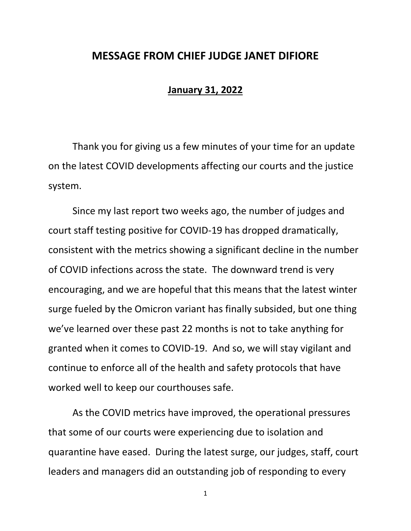## **MESSAGE FROM CHIEF JUDGE JANET DIFIORE**

## **January 31, 2022**

Thank you for giving us a few minutes of your time for an update on the latest COVID developments affecting our courts and the justice system.

Since my last report two weeks ago, the number of judges and court staff testing positive for COVID-19 has dropped dramatically, consistent with the metrics showing a significant decline in the number of COVID infections across the state. The downward trend is very encouraging, and we are hopeful that this means that the latest winter surge fueled by the Omicron variant has finally subsided, but one thing we've learned over these past 22 months is not to take anything for granted when it comes to COVID-19. And so, we will stay vigilant and continue to enforce all of the health and safety protocols that have worked well to keep our courthouses safe.

As the COVID metrics have improved, the operational pressures that some of our courts were experiencing due to isolation and quarantine have eased. During the latest surge, our judges, staff, court leaders and managers did an outstanding job of responding to every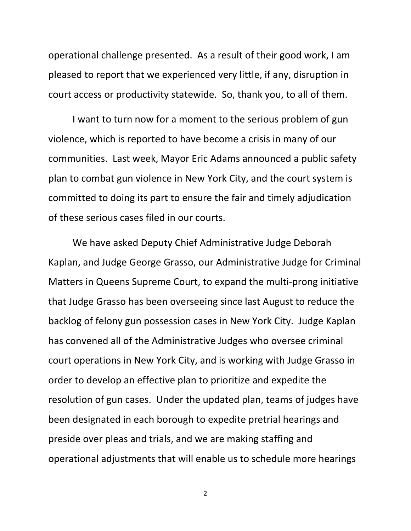operational challenge presented. As a result of their good work, I am pleased to report that we experienced very little, if any, disruption in court access or productivity statewide. So, thank you, to all of them.

I want to turn now for a moment to the serious problem of gun violence, which is reported to have become a crisis in many of our communities. Last week, Mayor Eric Adams announced a public safety plan to combat gun violence in New York City, and the court system is committed to doing its part to ensure the fair and timely adjudication of these serious cases filed in our courts.

We have asked Deputy Chief Administrative Judge Deborah Kaplan, and Judge George Grasso, our Administrative Judge for Criminal Matters in Queens Supreme Court, to expand the multi-prong initiative that Judge Grasso has been overseeing since last August to reduce the backlog of felony gun possession cases in New York City. Judge Kaplan has convened all of the Administrative Judges who oversee criminal court operations in New York City, and is working with Judge Grasso in order to develop an effective plan to prioritize and expedite the resolution of gun cases. Under the updated plan, teams of judges have been designated in each borough to expedite pretrial hearings and preside over pleas and trials, and we are making staffing and operational adjustments that will enable us to schedule more hearings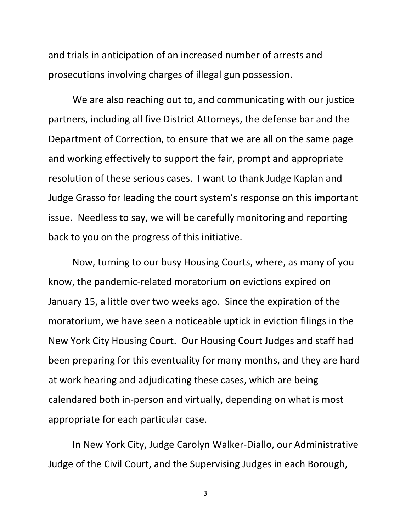and trials in anticipation of an increased number of arrests and prosecutions involving charges of illegal gun possession.

We are also reaching out to, and communicating with our justice partners, including all five District Attorneys, the defense bar and the Department of Correction, to ensure that we are all on the same page and working effectively to support the fair, prompt and appropriate resolution of these serious cases. I want to thank Judge Kaplan and Judge Grasso for leading the court system's response on this important issue. Needless to say, we will be carefully monitoring and reporting back to you on the progress of this initiative.

Now, turning to our busy Housing Courts, where, as many of you know, the pandemic-related moratorium on evictions expired on January 15, a little over two weeks ago. Since the expiration of the moratorium, we have seen a noticeable uptick in eviction filings in the New York City Housing Court. Our Housing Court Judges and staff had been preparing for this eventuality for many months, and they are hard at work hearing and adjudicating these cases, which are being calendared both in-person and virtually, depending on what is most appropriate for each particular case.

In New York City, Judge Carolyn Walker-Diallo, our Administrative Judge of the Civil Court, and the Supervising Judges in each Borough,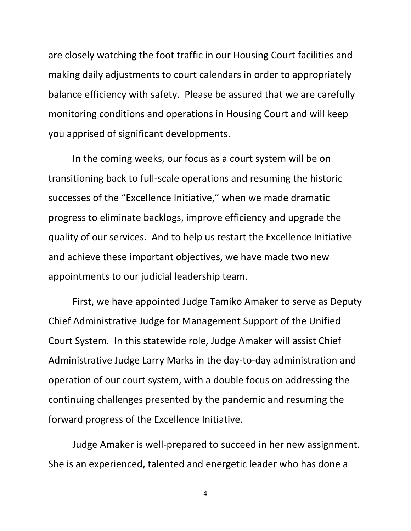are closely watching the foot traffic in our Housing Court facilities and making daily adjustments to court calendars in order to appropriately balance efficiency with safety. Please be assured that we are carefully monitoring conditions and operations in Housing Court and will keep you apprised of significant developments.

In the coming weeks, our focus as a court system will be on transitioning back to full-scale operations and resuming the historic successes of the "Excellence Initiative," when we made dramatic progress to eliminate backlogs, improve efficiency and upgrade the quality of our services. And to help us restart the Excellence Initiative and achieve these important objectives, we have made two new appointments to our judicial leadership team.

First, we have appointed Judge Tamiko Amaker to serve as Deputy Chief Administrative Judge for Management Support of the Unified Court System. In this statewide role, Judge Amaker will assist Chief Administrative Judge Larry Marks in the day-to-day administration and operation of our court system, with a double focus on addressing the continuing challenges presented by the pandemic and resuming the forward progress of the Excellence Initiative.

Judge Amaker is well-prepared to succeed in her new assignment. She is an experienced, talented and energetic leader who has done a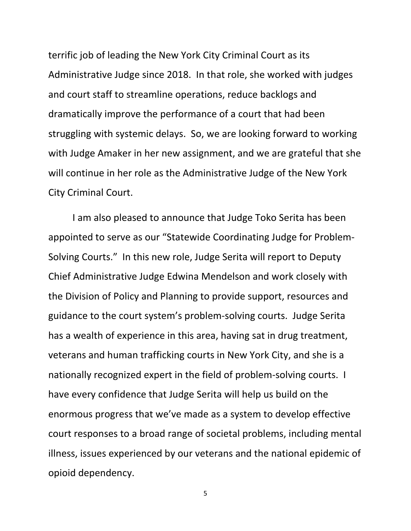terrific job of leading the New York City Criminal Court as its Administrative Judge since 2018. In that role, she worked with judges and court staff to streamline operations, reduce backlogs and dramatically improve the performance of a court that had been struggling with systemic delays. So, we are looking forward to working with Judge Amaker in her new assignment, and we are grateful that she will continue in her role as the Administrative Judge of the New York City Criminal Court.

I am also pleased to announce that Judge Toko Serita has been appointed to serve as our "Statewide Coordinating Judge for Problem-Solving Courts." In this new role, Judge Serita will report to Deputy Chief Administrative Judge Edwina Mendelson and work closely with the Division of Policy and Planning to provide support, resources and guidance to the court system's problem-solving courts. Judge Serita has a wealth of experience in this area, having sat in drug treatment, veterans and human trafficking courts in New York City, and she is a nationally recognized expert in the field of problem-solving courts. I have every confidence that Judge Serita will help us build on the enormous progress that we've made as a system to develop effective court responses to a broad range of societal problems, including mental illness, issues experienced by our veterans and the national epidemic of opioid dependency.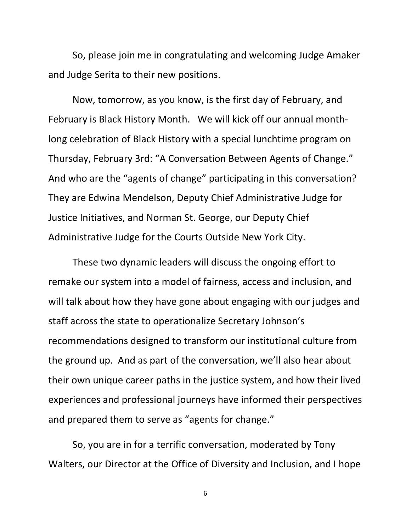So, please join me in congratulating and welcoming Judge Amaker and Judge Serita to their new positions.

Now, tomorrow, as you know, is the first day of February, and February is Black History Month. We will kick off our annual monthlong celebration of Black History with a special lunchtime program on Thursday, February 3rd: "A Conversation Between Agents of Change." And who are the "agents of change" participating in this conversation? They are Edwina Mendelson, Deputy Chief Administrative Judge for Justice Initiatives, and Norman St. George, our Deputy Chief Administrative Judge for the Courts Outside New York City.

These two dynamic leaders will discuss the ongoing effort to remake our system into a model of fairness, access and inclusion, and will talk about how they have gone about engaging with our judges and staff across the state to operationalize Secretary Johnson's recommendations designed to transform our institutional culture from the ground up. And as part of the conversation, we'll also hear about their own unique career paths in the justice system, and how their lived experiences and professional journeys have informed their perspectives and prepared them to serve as "agents for change."

So, you are in for a terrific conversation, moderated by Tony Walters, our Director at the Office of Diversity and Inclusion, and I hope